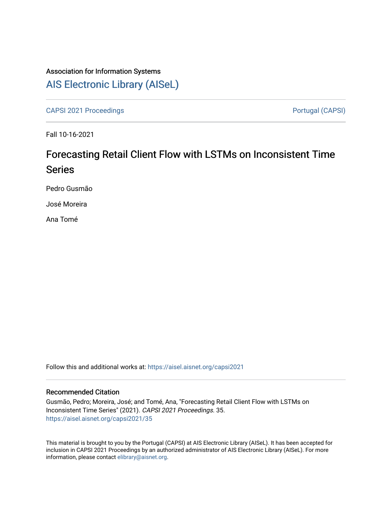## Association for Information Systems [AIS Electronic Library \(AISeL\)](https://aisel.aisnet.org/)

[CAPSI 2021 Proceedings](https://aisel.aisnet.org/capsi2021) **Poster CAPSI 2021** Proceedings **Portugal (CAPSI)** 

Fall 10-16-2021

# Forecasting Retail Client Flow with LSTMs on Inconsistent Time Series

Pedro Gusmão

José Moreira

Ana Tomé

Follow this and additional works at: [https://aisel.aisnet.org/capsi2021](https://aisel.aisnet.org/capsi2021?utm_source=aisel.aisnet.org%2Fcapsi2021%2F35&utm_medium=PDF&utm_campaign=PDFCoverPages)

#### Recommended Citation

Gusmão, Pedro; Moreira, José; and Tomé, Ana, "Forecasting Retail Client Flow with LSTMs on Inconsistent Time Series" (2021). CAPSI 2021 Proceedings. 35. [https://aisel.aisnet.org/capsi2021/35](https://aisel.aisnet.org/capsi2021/35?utm_source=aisel.aisnet.org%2Fcapsi2021%2F35&utm_medium=PDF&utm_campaign=PDFCoverPages) 

This material is brought to you by the Portugal (CAPSI) at AIS Electronic Library (AISeL). It has been accepted for inclusion in CAPSI 2021 Proceedings by an authorized administrator of AIS Electronic Library (AISeL). For more information, please contact [elibrary@aisnet.org.](mailto:elibrary@aisnet.org%3E)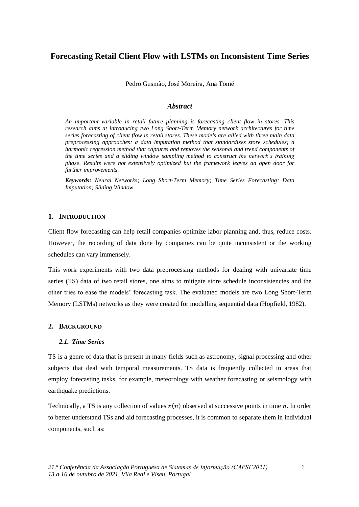## **Forecasting Retail Client Flow with LSTMs on Inconsistent Time Series**

Pedro Gusmão, José Moreira, Ana Tomé

#### *Abstract*

*An important variable in retail future planning is forecasting client flow in stores. This research aims at introducing two Long Short-Term Memory network architectures for time series forecasting of client flow in retail stores. These models are allied with three main data preprocessing approaches: a data imputation method that standardizes store schedules; a harmonic regression method that captures and removes the seasonal and trend components of the time series and a sliding window sampling method to construct the network's training phase. Results were not extensively optimized but the framework leaves an open door for further improvements.*

*Keywords: Neural Networks; Long Short-Term Memory; Time Series Forecasting; Data Imputation; Sliding Window.*

#### **1. INTRODUCTION**

Client flow forecasting can help retail companies optimize labor planning and, thus, reduce costs. However, the recording of data done by companies can be quite inconsistent or the working schedules can vary immensely.

This work experiments with two data preprocessing methods for dealing with univariate time series (TS) data of two retail stores, one aims to mitigate store schedule inconsistencies and the other tries to ease the models' forecasting task. The evaluated models are two Long Short-Term Memory (LSTMs) networks as they were created for modelling sequential data (Hopfield, 1982).

#### **2. BACKGROUND**

#### *2.1. Time Series*

TS is a genre of data that is present in many fields such as astronomy, signal processing and other subjects that deal with temporal measurements. TS data is frequently collected in areas that employ forecasting tasks, for example, meteorology with weather forecasting or seismology with earthquake predictions.

Technically, a TS is any collection of values  $x(n)$  observed at successive points in time n. In order to better understand TSs and aid forecasting processes, it is common to separate them in individual components, such as: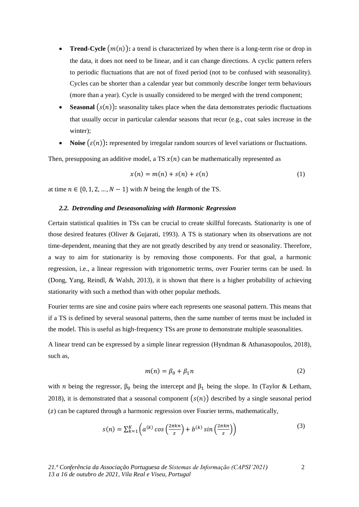- **Trend-Cycle**  $(m(n))$ : a trend is characterized by when there is a long-term rise or drop in the data, it does not need to be linear, and it can change directions. A cyclic pattern refers to periodic fluctuations that are not of fixed period (not to be confused with seasonality). Cycles can be shorter than a calendar year but commonly describe longer term behaviours (more than a year). Cycle is usually considered to be merged with the trend component;
- **Seasonal**  $(s(n))$ : seasonality takes place when the data demonstrates periodic fluctuations that usually occur in particular calendar seasons that recur (e.g., coat sales increase in the winter);
- **Noise**  $(\varepsilon(n))$ : represented by irregular random sources of level variations or fluctuations.

Then, presupposing an additive model, a TS  $x(n)$  can be mathematically represented as

<span id="page-2-0"></span>
$$
x(n) = m(n) + s(n) + \varepsilon(n)
$$
 (1)

<span id="page-2-1"></span>at time  $n \in \{0, 1, 2, ..., N-1\}$  with N being the length of the TS.

#### *2.2. Detrending and Deseasonalizing with Harmonic Regression*

Certain statistical qualities in TSs can be crucial to create skillful forecasts. Stationarity is one of those desired features (Oliver & Gujarati, 1993). A TS is stationary when its observations are not time-dependent, meaning that they are not greatly described by any trend or seasonality. Therefore, a way to aim for stationarity is by removing those components. For that goal, a harmonic regression, i.e., a linear regression with trigonometric terms, over Fourier terms can be used. In (Dong, Yang, Reindl, & Walsh, 2013), it is shown that there is a higher probability of achieving stationarity with such a method than with other popular methods.

Fourier terms are sine and cosine pairs where each represents one seasonal pattern. This means that if a TS is defined by several seasonal patterns, then the same number of terms must be included in the model. This is useful as high-frequency TSs are prone to demonstrate multiple seasonalities.

A linear trend can be expressed by a simple linear regression (Hyndman & Athanasopoulos, 2018), such as,

$$
m(n) = \beta_0 + \beta_1 n \tag{2}
$$

with *n* being the regressor,  $\beta_0$  being the intercept and  $\beta_1$  being the slope. In (Taylor & Letham, 2018), it is demonstrated that a seasonal component  $(s(n))$  described by a single seasonal period  $(z)$  can be captured through a harmonic regression over Fourier terms, mathematically,

$$
s(n) = \sum_{k=1}^{K} \left( a^{(k)} \cos\left(\frac{2\pi k n}{z}\right) + b^{(k)} \sin\left(\frac{2\pi k n}{z}\right) \right) \tag{3}
$$

2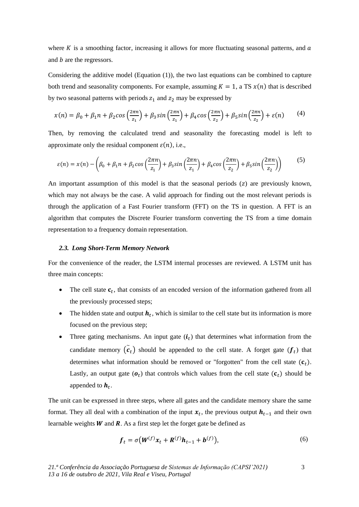where  $K$  is a smoothing factor, increasing it allows for more fluctuating seasonal patterns, and  $\alpha$ and  $b$  are the regressors.

Considering the additive model (Equation [\(1\)\)](#page-2-0), the two last equations can be combined to capture both trend and seasonality components. For example, assuming  $K = 1$ , a TS  $x(n)$  that is described by two seasonal patterns with periods  $z_1$  and  $z_2$  may be expressed by

$$
x(n) = \beta_0 + \beta_1 n + \beta_2 \cos\left(\frac{2\pi n}{z_1}\right) + \beta_3 \sin\left(\frac{2\pi n}{z_1}\right) + \beta_4 \cos\left(\frac{2\pi n}{z_2}\right) + \beta_5 \sin\left(\frac{2\pi n}{z_2}\right) + \varepsilon(n) \tag{4}
$$

Then, by removing the calculated trend and seasonality the forecasting model is left to approximate only the residual component  $\varepsilon(n)$ , i.e.,

<span id="page-3-0"></span>
$$
\varepsilon(n) = x(n) - \left(\beta_0 + \beta_1 n + \beta_2 \cos\left(\frac{2\pi n}{z_1}\right) + \beta_3 \sin\left(\frac{2\pi n}{z_1}\right) + \beta_4 \cos\left(\frac{2\pi n}{z_2}\right) + \beta_5 \sin\left(\frac{2\pi n}{z_2}\right)\right) \tag{5}
$$

An important assumption of this model is that the seasonal periods  $(z)$  are previously known, which may not always be the case. A valid approach for finding out the most relevant periods is through the application of a Fast Fourier transform (FFT) on the TS in question. A FFT is an algorithm that computes the Discrete Fourier transform converting the TS from a time domain representation to a frequency domain representation.

#### *2.3. Long Short-Term Memory Network*

For the convenience of the reader, the LSTM internal processes are reviewed. A LSTM unit has three main concepts:

- The cell state  $c_t$ , that consists of an encoded version of the information gathered from all the previously processed steps;
- The hidden state and output  $h_t$ , which is similar to the cell state but its information is more focused on the previous step;
- Three gating mechanisms. An input gate  $(i_t)$  that determines what information from the candidate memory  $(\tilde{c}_t)$  should be appended to the cell state. A forget gate  $(f_t)$  that determines what information should be removed or "forgotten" from the cell state  $(c_t)$ . Lastly, an output gate  $(o_t)$  that controls which values from the cell state  $(c_t)$  should be appended to  $h_t$ .

The unit can be expressed in three steps, where all gates and the candidate memory share the same format. They all deal with a combination of the input  $x_t$ , the previous output  $h_{t-1}$  and their own learnable weights  $W$  and  $R$ . As a first step let the forget gate be defined as

$$
\boldsymbol{f}_t = \sigma \big( \boldsymbol{W}^{(f)} \boldsymbol{x}_t + \boldsymbol{R}^{(f)} \boldsymbol{h}_{t-1} + \boldsymbol{b}^{(f)} \big), \tag{6}
$$

3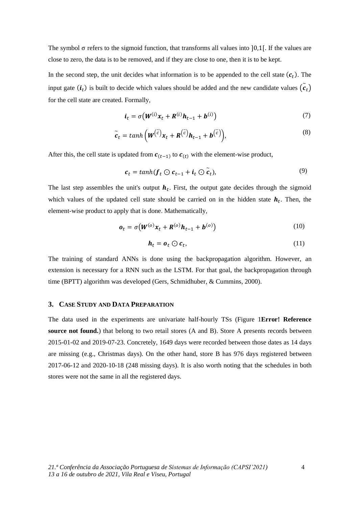The symbol  $\sigma$  refers to the sigmoid function, that transforms all values into [0,1]. If the values are close to zero, the data is to be removed, and if they are close to one, then it is to be kept.

In the second step, the unit decides what information is to be appended to the cell state  $(c<sub>t</sub>)$ . The input gate  $(i_t)$  is built to decide which values should be added and the new candidate values  $(\tilde{c}_t)$ for the cell state are created. Formally,

$$
\boldsymbol{i}_t = \sigma \big( \boldsymbol{W}^{(i)} \boldsymbol{x}_t + \boldsymbol{R}^{(i)} \boldsymbol{h}_{t-1} + \boldsymbol{b}^{(i)} \big) \tag{7}
$$

$$
\tilde{c}_t = \tanh\left(\boldsymbol{W}^{(\tilde{c})}\boldsymbol{x}_t + \boldsymbol{R}^{(\tilde{c})}\boldsymbol{h}_{t-1} + \boldsymbol{b}^{(\tilde{c})}\right),\tag{8}
$$

After this, the cell state is updated from  $c_{(t-1)}$  to  $c_{(t)}$  with the element-wise product,

$$
c_t = \tanh(f_t \odot c_{t-1} + i_t \odot \widetilde{c}_t), \tag{9}
$$

The last step assembles the unit's output  $h_t$ . First, the output gate decides through the sigmoid which values of the updated cell state should be carried on in the hidden state  $h_t$ . Then, the element-wise product to apply that is done. Mathematically,

$$
\boldsymbol{o}_t = \sigma \big( \boldsymbol{W}^{(o)} \boldsymbol{x}_t + \boldsymbol{R}^{(o)} \boldsymbol{h}_{t-1} + \boldsymbol{b}^{(o)} \big) \tag{10}
$$

$$
\boldsymbol{h}_t = \boldsymbol{o}_t \odot \boldsymbol{c}_t,\tag{11}
$$

The training of standard ANNs is done using the backpropagation algorithm. However, an extension is necessary for a RNN such as the LSTM. For that goal, the backpropagation through time (BPTT) algorithm was developed (Gers, Schmidhuber, & Cummins, 2000).

#### **3. CASE STUDY AND DATA PREPARATION**

The data used in the experiments are univariate half-hourly TSs [\(Figure 1](#page-5-0)**Error! Reference source not found.**) that belong to two retail stores (A and B). Store A presents records between 2015-01-02 and 2019-07-23. Concretely, 1649 days were recorded between those dates as 14 days are missing (e.g., Christmas days). On the other hand, store B has 976 days registered between 2017-06-12 and 2020-10-18 (248 missing days). It is also worth noting that the schedules in both stores were not the same in all the registered days.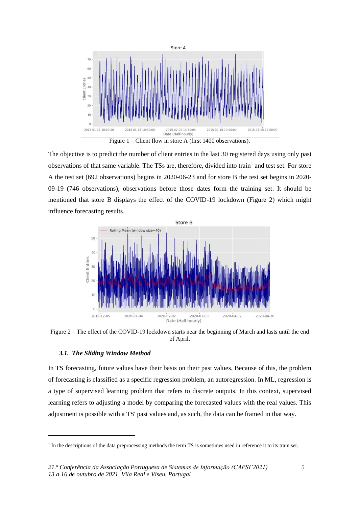

Figure 1 – Client flow in store A (first 1400 observations).

<span id="page-5-0"></span>The objective is to predict the number of client entries in the last 30 registered days using only past observations of that same variable. The TSs are, therefore, divided into train<sup>1</sup> and test set. For store A the test set (692 observations) begins in 2020-06-23 and for store B the test set begins in 2020- 09-19 (746 observations), observations before those dates form the training set. It should be mentioned that store B displays the effect of the COVID-19 lockdown [\(Figure 2\)](#page-5-1) which might influence forecasting results.



<span id="page-5-1"></span>Figure 2 – The effect of the COVID-19 lockdown starts near the beginning of March and lasts until the end of April.

#### *3.1. The Sliding Window Method*

In TS forecasting, future values have their basis on their past values. Because of this, the problem of forecasting is classified as a specific regression problem, an autoregression. In ML, regression is a type of supervised learning problem that refers to discrete outputs. In this context, supervised learning refers to adjusting a model by comparing the forecasted values with the real values. This adjustment is possible with a TS' past values and, as such, the data can be framed in that way.

<sup>&</sup>lt;sup>1</sup> In the descriptions of the data preprocessing methods the term TS is sometimes used in reference it to its train set.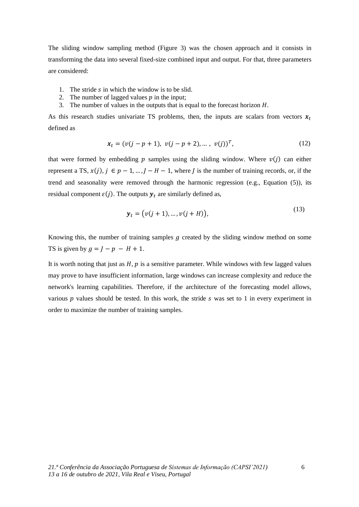The sliding window sampling method [\(Figure 3\)](#page-7-0) was the chosen approach and it consists in transforming the data into several fixed-size combined input and output. For that, three parameters are considered:

- 1. The stride  $s$  in which the window is to be slid.
- 2. The number of lagged values  $p$  in the input;
- 3. The number of values in the outputs that is equal to the forecast horizon  $H$ .

As this research studies univariate TS problems, then, the inputs are scalars from vectors  $x_t$ defined as

$$
\mathbf{x}_t = (v(j - p + 1), v(j - p + 2), \dots, v(j))^T, \tag{12}
$$

that were formed by embedding  $p$  samples using the sliding window. Where  $v(j)$  can either represent a TS,  $x(j)$ ,  $j \in p-1, ..., J-M-1$ , where *J* is the number of training records, or, if the trend and seasonality were removed through the harmonic regression (e.g., Equation [\(5\)](#page-3-0)), its residual component  $\varepsilon(j)$ . The outputs  $y_t$  are similarly defined as,

$$
\mathbf{y}_t = (v(j+1), ..., v(j+H)),
$$
\n(13)

Knowing this, the number of training samples  $g$  created by the sliding window method on some TS is given by  $q = I - p - H + 1$ .

It is worth noting that just as  $H$ ,  $p$  is a sensitive parameter. While windows with few lagged values may prove to have insufficient information, large windows can increase complexity and reduce the network's learning capabilities. Therefore, if the architecture of the forecasting model allows, various  $p$  values should be tested. In this work, the stride  $s$  was set to 1 in every experiment in order to maximize the number of training samples.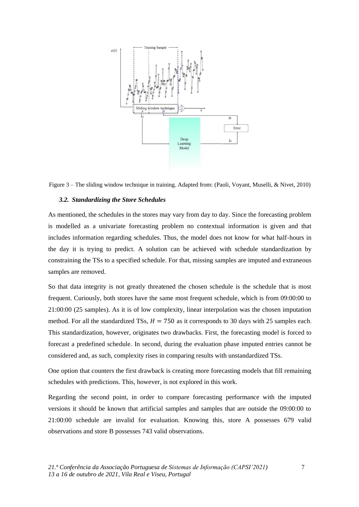

<span id="page-7-0"></span>Figure 3 – The sliding window technique in training. Adapted from: (Paoli, Voyant, Muselli, & Nivet, 2010)

#### *3.2. Standardizing the Store Schedules*

As mentioned, the schedules in the stores may vary from day to day. Since the forecasting problem is modelled as a univariate forecasting problem no contextual information is given and that includes information regarding schedules. Thus, the model does not know for what half-hours in the day it is trying to predict. A solution can be achieved with schedule standardization by constraining the TSs to a specified schedule. For that, missing samples are imputed and extraneous samples are removed.

So that data integrity is not greatly threatened the chosen schedule is the schedule that is most frequent. Curiously, both stores have the same most frequent schedule, which is from 09:00:00 to 21:00:00 (25 samples). As it is of low complexity, linear interpolation was the chosen imputation method. For all the standardized TSs,  $H = 750$  as it corresponds to 30 days with 25 samples each. This standardization, however, originates two drawbacks. First, the forecasting model is forced to forecast a predefined schedule. In second, during the evaluation phase imputed entries cannot be considered and, as such, complexity rises in comparing results with unstandardized TSs.

One option that counters the first drawback is creating more forecasting models that fill remaining schedules with predictions. This, however, is not explored in this work.

Regarding the second point, in order to compare forecasting performance with the imputed versions it should be known that artificial samples and samples that are outside the 09:00:00 to 21:00:00 schedule are invalid for evaluation. Knowing this, store A possesses 679 valid observations and store B possesses 743 valid observations.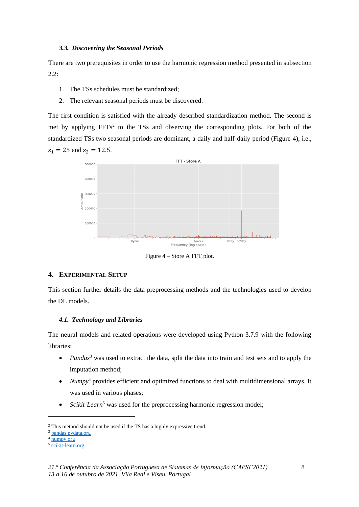#### *3.3. Discovering the Seasonal Periods*

There are two prerequisites in order to use the harmonic regression method presented in subsection [2.2:](#page-2-1)

- 1. The TSs schedules must be standardized;
- 2. The relevant seasonal periods must be discovered.

The first condition is satisfied with the already described standardization method. The second is met by applying  $FFTs<sup>2</sup>$  to the TSs and observing the corresponding plots. For both of the standardized TSs two seasonal periods are dominant, a daily and half-daily period [\(Figure 4\)](#page-8-0), i.e.,  $z_1 = 25$  and  $z_2 = 12.5$ .



Figure 4 – Store A FFT plot.

#### <span id="page-8-0"></span>**4. EXPERIMENTAL SETUP**

This section further details the data preprocessing methods and the technologies used to develop the DL models.

#### *4.1. Technology and Libraries*

The neural models and related operations were developed using Python 3.7.9 with the following libraries:

- *Pandas*<sup>3</sup> was used to extract the data, split the data into train and test sets and to apply the imputation method;
- *Numpy*<sup>4</sup> provides efficient and optimized functions to deal with multidimensional arrays. It was used in various phases;
- *Scikit-Learn*<sup>5</sup> was used for the preprocessing harmonic regression model;

<sup>2</sup> This method should not be used if the TS has a highly expressive trend.

<sup>3</sup> [pandas.pydata.org](https://pandas.pydata.org/)

<sup>4</sup> [numpy.org](https://numpy.org/)

<sup>5</sup> [scikit-learn.org](https://scikit-learn.org/stable/)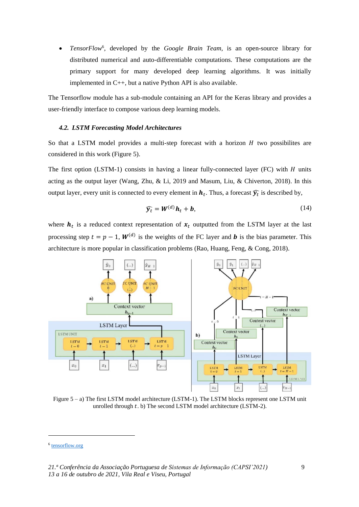• *TensorFlow*<sup>6</sup> , developed by the *Google Brain Team*, is an open-source library for distributed numerical and auto-differentiable computations. These computations are the primary support for many developed deep learning algorithms. It was initially implemented in C++, but a native Python API is also available.

The Tensorflow module has a sub-module containing an API for the Keras library and provides a user-friendly interface to compose various deep learning models.

#### *4.2. LSTM Forecasting Model Architectures*

So that a LSTM model provides a multi-step forecast with a horizon  $H$  two possibilites are considered in this work [\(Figure 5\)](#page-9-0).

The first option (LSTM-1) consists in having a linear fully-connected layer (FC) with  $H$  units acting as the output layer (Wang, Zhu, & Li, 2019 and Masum, Liu, & Chiverton, 2018). In this output layer, every unit is connected to every element in  $\bm{h}_t.$  Thus, a forecast  $\widehat{\bm{y}_t}$  is described by,

$$
\widehat{\mathbf{y}_t} = \mathbf{W}^{(d)} \mathbf{h}_t + \mathbf{b},\tag{14}
$$

where  $h_t$  is a reduced context representation of  $x_t$  outputted from the LSTM layer at the last processing step  $t = p - 1$ ,  $W^{(d)}$  is the weights of the FC layer and **b** is the bias parameter. This architecture is more popular in classification problems (Rao, Huang, Feng, & Cong, 2018).



<span id="page-9-0"></span>Figure 5 – a) The first LSTM model architecture (LSTM-1). The LSTM blocks represent one LSTM unit unrolled through  $t$ . b) The second LSTM model architecture (LSTM-2).

<sup>&</sup>lt;sup>6</sup> [tensorflow.org](http://www.tensorflow.org/)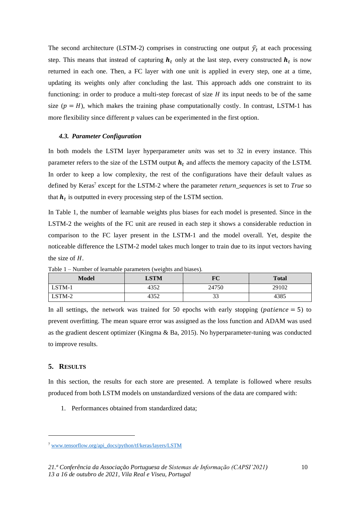The second architecture (LSTM-2) comprises in constructing one output  $\hat{y}_t$  at each processing step. This means that instead of capturing  $h_t$  only at the last step, every constructed  $h_t$  is now returned in each one. Then, a FC layer with one unit is applied in every step, one at a time, updating its weights only after concluding the last. This approach adds one constraint to its functioning: in order to produce a multi-step forecast of size  $H$  its input needs to be of the same size  $(p = H)$ , which makes the training phase computationally costly. In contrast, LSTM-1 has more flexibility since different  $p$  values can be experimented in the first option.

#### *4.3. Parameter Configuration*

In both models the LSTM layer hyperparameter *units* was set to 32 in every instance. This parameter refers to the size of the LSTM output  $h_t$  and affects the memory capacity of the LSTM. In order to keep a low complexity, the rest of the configurations have their default values as defined by Keras<sup>7</sup> except for the LSTM-2 where the parameter *return\_sequences* is set to *True* so that  $h_t$  is outputted in every processing step of the LSTM section.

In [Table 1,](#page-10-0) the number of learnable weights plus biases for each model is presented. Since in the LSTM-2 the weights of the FC unit are reused in each step it shows a considerable reduction in comparison to the FC layer present in the LSTM-1 and the model overall. Yet, despite the noticeable difference the LSTM-2 model takes much longer to train due to its input vectors having the size of  $H$ .

| Model  | <b>LSTM</b> | FC    | Total |
|--------|-------------|-------|-------|
| LSTM-1 | 4352        | 24750 | 29102 |
| LSTM-2 | 4352        |       | 4385  |

<span id="page-10-0"></span>Table 1 – Number of learnable parameters (weights and biases).

In all settings, the network was trained for 50 epochs with early stopping (*patience*  $= 5$ ) to prevent overfitting. The mean square error was assigned as the loss function and ADAM was used as the gradient descent optimizer (Kingma & Ba, 2015). No hyperparameter-tuning was conducted to improve results.

#### **5. RESULTS**

In this section, the results for each store are presented. A template is followed where results produced from both LSTM models on unstandardized versions of the data are compared with:

1. Performances obtained from standardized data;

<sup>7</sup> [www.tensorflow.org/api\\_docs/python/tf/keras/layers/LSTM](https://www.tensorflow.org/api_docs/python/tf/keras/layers/LSTM)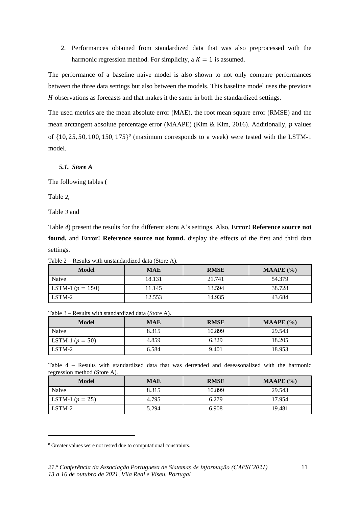2. Performances obtained from standardized data that was also preprocessed with the harmonic regression method. For simplicity, a  $K = 1$  is assumed.

The performance of a baseline naive model is also shown to not only compare performances between the three data settings but also between the models. This baseline model uses the previous H observations as forecasts and that makes it the same in both the standardized settings.

The used metrics are the mean absolute error (MAE), the root mean square error (RMSE) and the mean arctangent absolute percentage error (MAAPE) (Kim & Kim, 2016). Additionally,  $p$  values of  $\{10, 25, 50, 100, 150, 175\}$ <sup>8</sup> (maximum corresponds to a week) were tested with the LSTM-1 model.

#### *5.1. Store A*

The following tables [\(](#page-11-0)

[Table](#page-11-0) *2*,

[Table](#page-11-1) *3* and

[Table](#page-11-2) *4*) present the results for the different store A's settings. Also, **Error! Reference source not found.** and **Error! Reference source not found.** display the effects of the first and third data settings.

<span id="page-11-0"></span>Table 2 – Results with unstandardized data (Store A).

| Model                | <b>MAE</b> | <b>RMSE</b> | <b>MAAPE</b> $(\% )$ |
|----------------------|------------|-------------|----------------------|
| Naive                | 18.131     | 21.741      | 54.379               |
| LSTM-1 ( $p = 150$ ) | 11.145     | 13.594      | 38.728               |
| LSTM-2               | 12.553     | 14.935      | 43.684               |

<span id="page-11-1"></span>Table 3 – Results with standardized data (Store A).

| <b>Model</b>      | <b>MAE</b> | <b>RMSE</b> | MAAPE $(\% )$ |
|-------------------|------------|-------------|---------------|
| Naive             | 8.315      | 10.899      | 29.543        |
| LSTM-1 $(p = 50)$ | 4.859      | 6.329       | 18.205        |
| LSTM-2            | 6.584      | 9.401       | 18.953        |

<span id="page-11-2"></span>Table 4 – Results with standardized data that was detrended and deseasonalized with the harmonic regression method (Store A).

| Model             | <b>MAE</b> | <b>RMSE</b> | MAAPE $(\% )$ |
|-------------------|------------|-------------|---------------|
| Naive             | 8.315      | 10.899      | 29.543        |
| LSTM-1 $(p = 25)$ | 4.795      | 6.279       | 17.954        |
| LSTM-2            | 5.294      | 6.908       | 19.481        |

<sup>8</sup> Greater values were not tested due to computational constraints.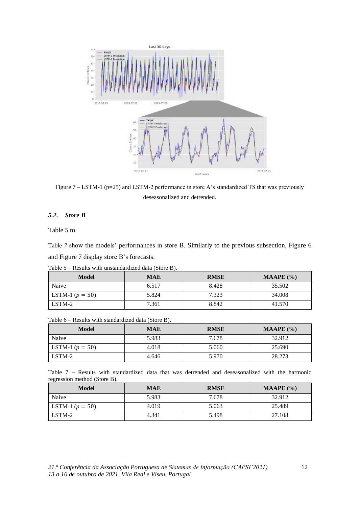

Figure 7 – LSTM-1 (p=25) and LSTM-2 performance in store A's standardized TS that was previously deseasonalized and detrended.

### *5.2. Store [B](#page-12-0)*

[Table 5](#page-12-0) to

<span id="page-12-0"></span>[Table](#page-12-1) *7* show the models' performances in store B. Similarly to the previous subsection, [Figure 6](#page-13-0) an[d Figure 7](#page-13-1) display store B's forecasts.

Table 5 – Results with unstandardized data (Store B).

| <b>Model</b>      | <b>MAE</b> | <b>RMSE</b> | <b>MAAPE</b> $(\% )$ |
|-------------------|------------|-------------|----------------------|
| Naive             | 6.517      | 8.428       | 35.502               |
| LSTM-1 $(p = 50)$ | 5.824      | 7.323       | 34.008               |
| LSTM-2            | 7.361      | 8.842       | 41.570               |

Table 6 – Results with standardized data (Store B).

| Model             | <b>MAE</b> | <b>RMSE</b> | <b>MAAPE</b> $(\% )$ |
|-------------------|------------|-------------|----------------------|
| Naive             | 5.983      | 7.678       | 32.912               |
| LSTM-1 $(p = 50)$ | 4.018      | 5.060       | 25.690               |
| LSTM-2            | 4.646      | 5.970       | 28.273               |

<span id="page-12-1"></span>Table 7 – Results with standardized data that was detrended and deseasonalized with the harmonic regression method (Store B).

| Model             | <b>MAE</b> | <b>RMSE</b> | <b>MAAPE</b> $(\% )$ |
|-------------------|------------|-------------|----------------------|
| Naive             | 5.983      | 7.678       | 32.912               |
| LSTM-1 $(p = 50)$ | 4.019      | 5.063       | 25.489               |
| LSTM-2            | 4.341      | 5.498       | 27.108               |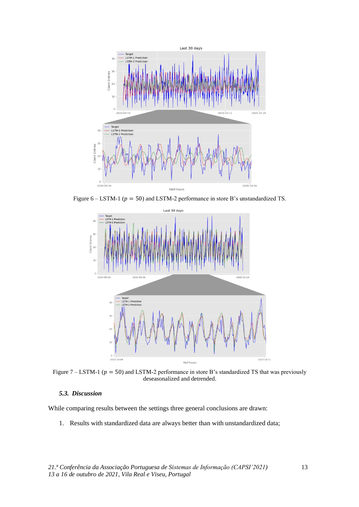

<span id="page-13-0"></span>Figure 6 – LSTM-1 ( $p = 50$ ) and LSTM-2 performance in store B's unstandardized TS.



<span id="page-13-1"></span>Figure 7 – LSTM-1 ( $p = 50$ ) and LSTM-2 performance in store B's standardized TS that was previously deseasonalized and detrended.

#### *5.3. Discussion*

While comparing results between the settings three general conclusions are drawn:

1. Results with standardized data are always better than with unstandardized data;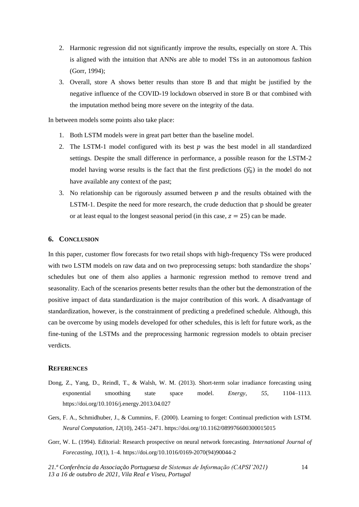- 2. Harmonic regression did not significantly improve the results, especially on store A. This is aligned with the intuition that ANNs are able to model TSs in an autonomous fashion (Gorr, 1994);
- 3. Overall, store A shows better results than store B and that might be justified by the negative influence of the COVID-19 lockdown observed in store B or that combined with the imputation method being more severe on the integrity of the data.

In between models some points also take place:

- 1. Both LSTM models were in great part better than the baseline model.
- 2. The LSTM-1 model configured with its best  $p$  was the best model in all standardized settings. Despite the small difference in performance, a possible reason for the LSTM-2 model having worse results is the fact that the first predictions  $(\widehat{y}_0)$  in the model do not have available any context of the past;
- 3. No relationship can be rigorously assumed between  $p$  and the results obtained with the LSTM-1. Despite the need for more research, the crude deduction that p should be greater or at least equal to the longest seasonal period (in this case,  $z = 25$ ) can be made.

#### **6. CONCLUSION**

In this paper, customer flow forecasts for two retail shops with high-frequency TSs were produced with two LSTM models on raw data and on two preprocessing setups: both standardize the shops' schedules but one of them also applies a harmonic regression method to remove trend and seasonality. Each of the scenarios presents better results than the other but the demonstration of the positive impact of data standardization is the major contribution of this work. A disadvantage of standardization, however, is the constrainment of predicting a predefined schedule. Although, this can be overcome by using models developed for other schedules, this is left for future work, as the fine-tuning of the LSTMs and the preprocessing harmonic regression models to obtain preciser verdicts.

#### **REFERENCES**

- Dong, Z., Yang, D., Reindl, T., & Walsh, W. M. (2013). Short-term solar irradiance forecasting using exponential smoothing state space model. *Energy*, *55*, 1104–1113. https://doi.org/10.1016/j.energy.2013.04.027
- Gers, F. A., Schmidhuber, J., & Cummins, F. (2000). Learning to forget: Continual prediction with LSTM. *Neural Computation*, *12*(10), 2451–2471. https://doi.org/10.1162/089976600300015015
- Gorr, W. L. (1994). Editorial: Research prospective on neural network forecasting. *International Journal of Forecasting*, *10*(1), 1–4. https://doi.org/10.1016/0169-2070(94)90044-2

*21.ª Conferência da Associação Portuguesa de Sistemas de Informação (CAPSI'2021) 13 a 16 de outubro de 2021, Vila Real e Viseu, Portugal*